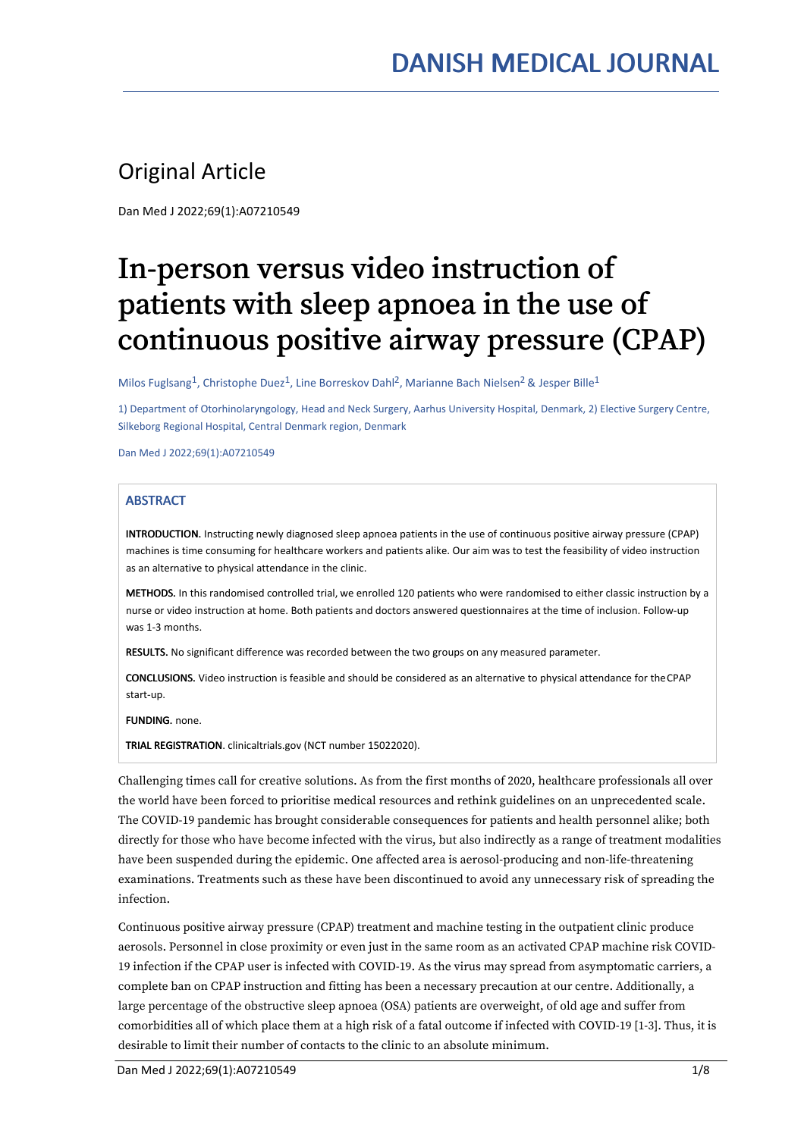# Original Article

Dan Med J 2022;69(1):A07210549

# In-person versus video instruction of patients with sleep apnoea in the use of continuous positive airway pressure (CPAP)

Milos Fuglsang $^1$ , Christophe Duez $^1$ , Line Borreskov Dahl $^2$ , Marianne Bach Nielsen $^2$  & Jesper Bille $^1$ 

1) Department of Otorhinolaryngology, Head and Neck Surgery, Aarhus University Hospital, Denmark, 2) Elective Surgery Centre, Silkeborg Regional Hospital, Central Denmark region, Denmark

Dan Med J 2022;69(1):A07210549

# **ABSTRACT**

INTRODUCTION. Instructing newly diagnosed sleep apnoea patients in the use of continuous positive airway pressure (CPAP) machines is time consuming for healthcare workers and patients alike. Our aim was to test the feasibility of video instruction as an alternative to physical attendance in the clinic.

METHODS. In this randomised controlled trial, we enrolled 120 patients who were randomised to either classic instruction by a nurse or video instruction at home. Both patients and doctors answered questionnaires at the time of inclusion. Follow-up was 1-3 months.

RESULTS. No significant difference was recorded between the two groups on any measured parameter.

CONCLUSIONS. Video instruction is feasible and should be considered as an alternative to physical attendance for theCPAP start-up.

FUNDING. none.

TRIAL REGISTRATION. clinicaltrials.gov (NCT number 15022020).

Challenging times call for creative solutions. As from the first months of 2020, healthcare professionals all over the world have been forced to prioritise medical resources and rethink guidelines on an unprecedented scale. The COVID-19 pandemic has brought considerable consequences for patients and health personnel alike; both directly for those who have become infected with the virus, but also indirectly as a range of treatment modalities have been suspended during the epidemic. One affected area is aerosol-producing and non-life-threatening examinations. Treatments such as these have been discontinued to avoid any unnecessary risk of spreading the infection.

Continuous positive airway pressure (CPAP) treatment and machine testing in the outpatient clinic produce aerosols. Personnel in close proximity or even just in the same room as an activated CPAP machine risk COVID- 19 infection if the CPAP user is infected with COVID-19. As the virus may spread from asymptomatic carriers, a complete ban on CPAP instruction and fitting has been a necessary precaution at our centre. Additionally, a large percentage of the obstructive sleep apnoea (OSA) patients are overweight, of old age and suffer from comorbidities all of which place them at a high risk of a fatal outcome if infected with COVID-19 [1-3]. Thus, it is desirable to limit their number of contacts to the clinic to an absolute minimum.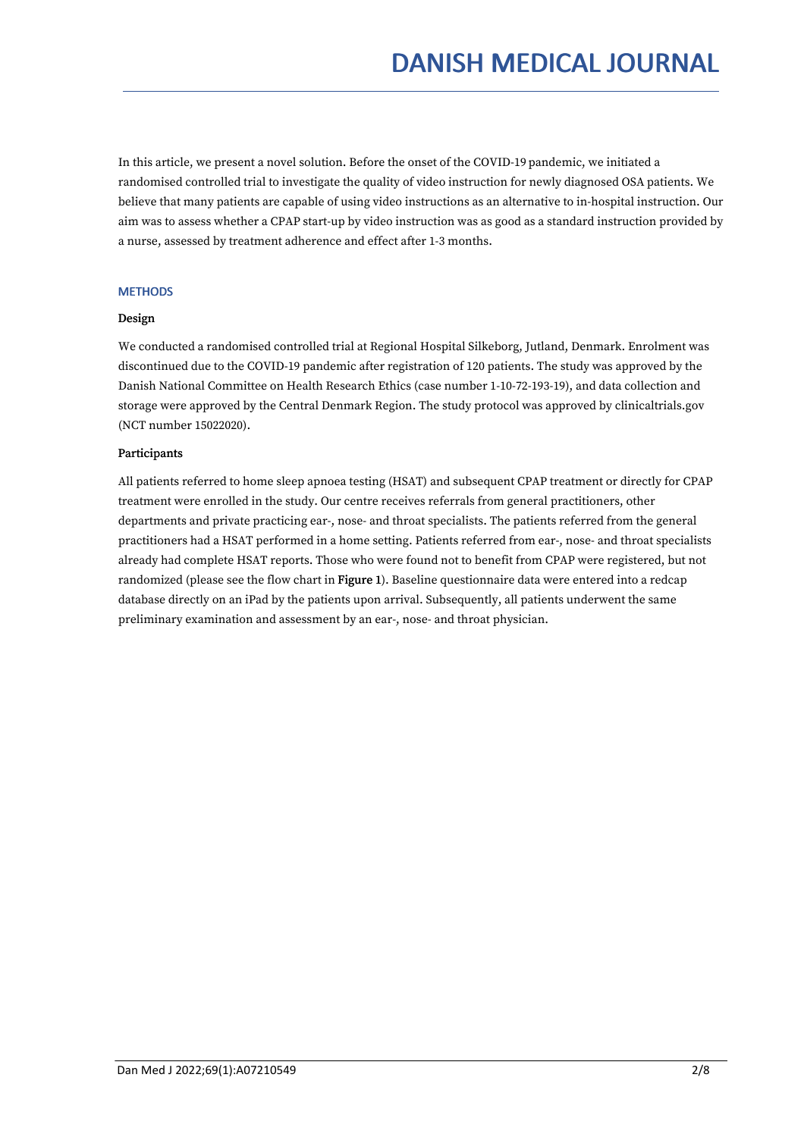In this article, we present a novel solution. Before the onset of the COVID-19 pandemic, we initiated a randomised controlled trial to investigate the quality of video instruction for newly diagnosed OSA patients. We believe that many patients are capable of using video instructions as an alternative to in-hospital instruction. Our aim was to assess whether a CPAP start-up by video instruction was as good as a standard instruction provided by a nurse, assessed by treatment adherence and effect after 1-3 months.

# **MFTHODS**

# Design

We conducted a randomised controlled trial at Regional Hospital Silkeborg, Jutland, Denmark. Enrolment was discontinued due to the COVID-19 pandemic after registration of 120 patients. The study was approved by the Danish National Committee on Health Research Ethics (case number 1-10-72-193-19), and data collection and storage were approved by the Central Denmark Region. The study protocol was approved by clinicaltrials.gov (NCT number 15022020).

# Participants

All patients referred to home sleep apnoea testing (HSAT) and subsequent CPAP treatment or directly for CPAP treatment were enrolled in the study. Our centre receives referrals from general practitioners, other departments and private practicing ear-, nose- and throat specialists. The patients referred from the general practitioners had a HSAT performed in a home setting. Patients referred from ear-, nose- and throat specialists already had complete HSAT reports. Those who were found not to benefit from CPAP were registered, but not randomized (please see the flow chart in Figure 1). Baseline questionnaire data were entered into a redcap database directly on an iPad by the patients upon arrival. Subsequently, all patients underwent the same preliminary examination and assessment by an ear-, nose- and throat physician.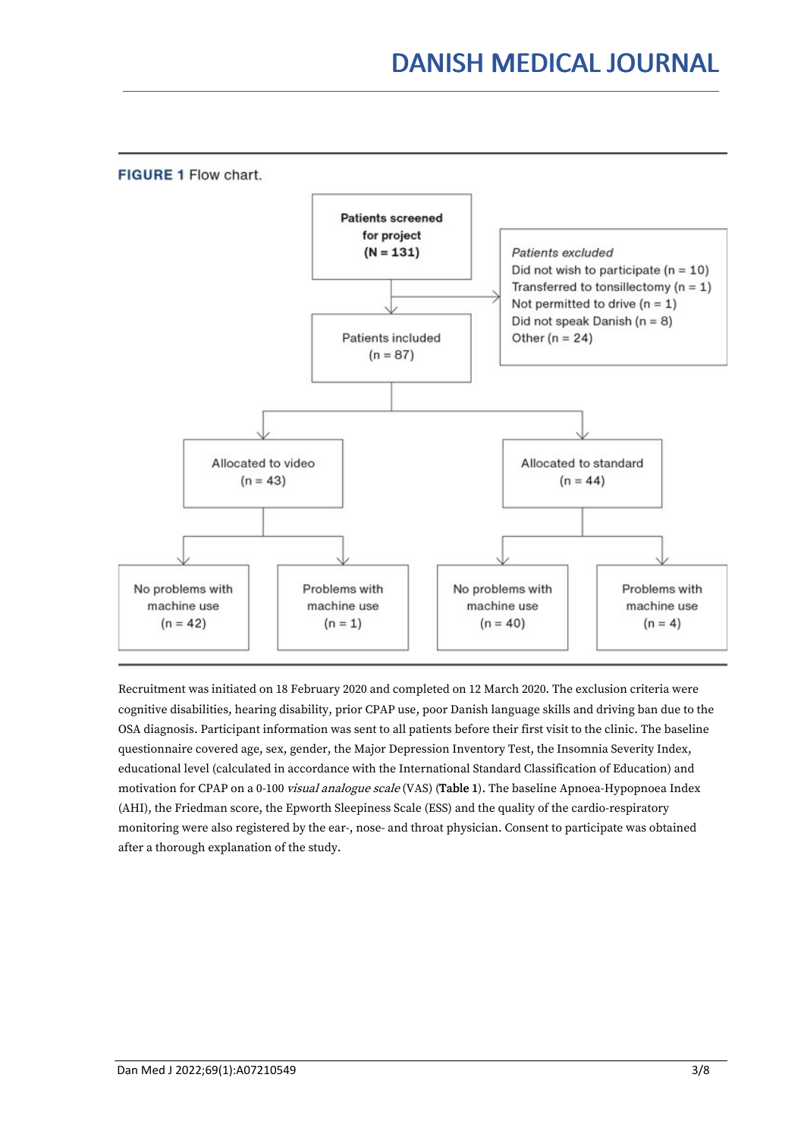

Recruitment was initiated on 18 February 2020 and completed on 12 March 2020. The exclusion criteria were cognitive disabilities, hearing disability, prior CPAP use, poor Danish language skills and driving ban due to the OSA diagnosis. Participant information was sent to allpatients before their first visit to the clinic. The baseline questionnaire covered age, sex, gender, the Major Depression Inventory Test, the Insomnia Severity Index, educational level (calculated in accordance with the International Standard Classification of Education) and motivation for CPAP on a 0-100 *visual analogue scale* (VAS) (Table 1). The baseline Apnoea-Hypopnoea Index (AHI), the Friedman score, the Epworth Sleepiness Scale (ESS) and the quality of the cardio-respiratory monitoring were also registered by the ear-, nose- and throat physician. Consent to participate was obtained after a thorough explanation of the study.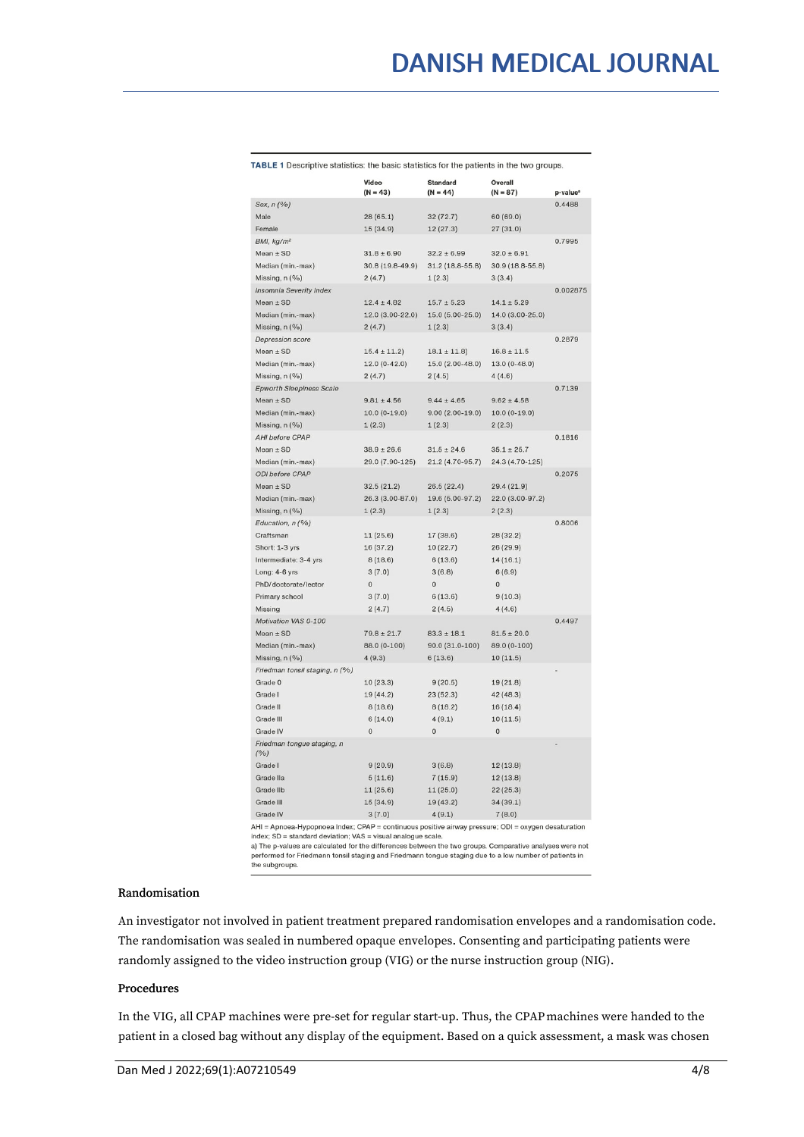|                                   | Video            | <b>Standard</b>   | Overall                    |                      |
|-----------------------------------|------------------|-------------------|----------------------------|----------------------|
|                                   | $(N = 43)$       | $(N = 44)$        | $(N = 87)$                 | p-value <sup>a</sup> |
| Sex, n (%)                        |                  |                   |                            | 0.4488               |
| Male                              | 28 (65.1)        | 32 (72.7)         | 60 (69.0)                  |                      |
| Female                            | 15 (34.9)        | 12(27.3)          | 27(31.0)                   |                      |
| BMI, kg/m <sup>2</sup>            |                  |                   |                            | 0.7995               |
| $Mean \pm SD$                     | $31.8 \pm 6.90$  | $32.2 \pm 6.99$   | $32.0 \pm 6.91$            |                      |
| Median (min.-max)                 | 30.8 (19.8-49.9) | $31.2(18.8-55.8)$ | 30.9 (18.8-55.8)           |                      |
| Missing, n (%)                    | 2(4.7)           | 1(2.3)            | 3(3.4)                     |                      |
| <b>Insomnia Severity Index</b>    |                  |                   |                            | 0.002875             |
| $Mean \pm SD$                     | $12.4 \pm 4.82$  | $15.7 \pm 5.23$   | $14.1 \pm 5.29$            |                      |
| Median (min.-max)                 | 12.0 (3.00-22.0) | 15.0 (5.00-25.0)  | 14.0 (3.00-25.0)           |                      |
| Missing, n (%)                    | 2(4.7)           | 1(2.3)            | 3(3.4)                     |                      |
| <b>Depression score</b>           |                  |                   |                            | 0.2879               |
| Mean $\pm$ SD                     | $15.4 \pm 11.2$  | $18.1 \pm 11.8$   | $16.8 \pm 11.5$            |                      |
| Median (min.-max)                 | $12.0(0-42.0)$   | 15.0 (2.00-48.0)  | $13.0(0-48.0)$             |                      |
| Missing, n (%)                    | 2(4.7)           | 2(4.5)            | 4(4.6)                     |                      |
| <b>Epworth Sleepiness Scale</b>   |                  |                   |                            | 0.7139               |
| Mean $\pm$ SD                     | $9.81 \pm 4.56$  | $9.44 \pm 4.65$   | $9.62 \pm 4.58$            |                      |
| Median (min.-max)                 | $10.0(0-19.0)$   | $9.00(2.00-19.0)$ | $10.0(0-19.0)$             |                      |
| Missing, n (%)                    | 1(2.3)           | 1(2.3)            | 2(2.3)                     |                      |
| <b>AHI before CPAP</b>            |                  |                   |                            | 0.1816               |
| Mean $\pm$ SD                     | $38.9 \pm 26.6$  | $31.5 \pm 24.6$   | $35.1 \pm 25.7$            |                      |
| Median (min.-max)                 | 29.0 (7.90-125)  | 21.2 (4.70-95.7)  | 24.3 (4.70-125)            |                      |
| <b>ODI</b> before CPAP            |                  |                   |                            | 0.2075               |
| $Mean \pm SD$                     | 32.5(21.2)       | 26.5(22.4)        | 29.4 (21.9)                |                      |
| Median (min.-max)                 | 26.3 (3.00-87.0) | 19.6 (5.00-97.2)  | 22.0 (3.00-97.2)           |                      |
| Missing, n (%)                    | 1(2.3)           | 1(2.3)            | 2(2.3)                     |                      |
| Education, n (%)                  |                  |                   |                            | 0.8006               |
| Craftsman                         | 11(25.6)         | 17 (38.6)         | 28 (32.2)                  |                      |
| Short: 1-3 yrs                    | 16 (37.2)        | 10(22.7)          | 26(29.9)                   |                      |
| Intermediate: 3-4 yrs             | 8(18.6)          | 6(13.6)           | 14(16.1)                   |                      |
| Long: 4-6 yrs                     | 3(7.0)           | 3(6.8)            | 6(6.9)                     |                      |
| PhD/doctorate/lector              | $\bf 0$          | $\Omega$          | $\Omega$                   |                      |
| Primary school                    | 3(7.0)           | 6(13.6)           | 9(10.3)                    |                      |
| Missing                           | 2(4.7)           | 2(4.5)            | 4(4.6)                     |                      |
| Motivation VAS 0-100              |                  |                   |                            | 0.4497               |
| Mean $\pm$ SD                     | $79.8 \pm 21.7$  | $83.3 \pm 18.1$   | $81.5 \pm 20.0$            |                      |
| Median (min.-max)                 | 88.0 (0-100)     | 90.0 (31.0-100)   | 89.0 (0-100)               |                      |
| Missing, n (%)                    | 4(9.3)           | 6(13.6)           | 10(11.5)                   |                      |
| Friedman tonsil staging, n (%)    |                  |                   |                            |                      |
| Grade 0                           | 10 (23.3)        | 9(20.5)           | 19 (21.8)                  |                      |
| Grade I                           | 19 (44.2)        | 23 (52.3)         | 42 (48.3)                  |                      |
| Grade II                          | 8(18.6)          | 8(18.2)           | 16(18.4)                   |                      |
| Grade III                         | 6(14.0)          | 4(9.1)            | 10(11.5)                   |                      |
| Grade IV                          | $\mathbf{0}$     | $\overline{0}$    | $\mathbf{0}$               |                      |
| Friedman tongue staging, n<br>(%) |                  |                   |                            |                      |
| Grade I                           | 9(20.9)          | 3(6.8)            | 12(13.8)                   |                      |
| Grade lla                         | 5(11.6)          | 7(15.9)           | 12(13.8)                   |                      |
| <b>Grade IIb</b>                  | 11(25.6)         | 11(25.0)          | 22(25.3)                   |                      |
| <b>Grade III</b>                  | 15 (34.9)        | 19(43.2)          | 34(39.1)                   |                      |
| Grade IV                          | 3(7.0)           | 4(9.1)            | 7(8.0)                     |                      |
| $H = \Delta n n e$                | $DAD = cont$     | eitivo ain        | $rra:$ $\cap$ $\cap$ $I =$ |                      |

#### TABLE 1 Descriptive statistics: the basic statistics for the patients in the two groups.

AHI = Apnoea.-Hypopnoea index; CPAP = continuous positive airway pressure; ODI = oxygen desaturation<br>index; SD = standard deviation; VAS = visual analogue scale.<br>a) The p-values are calculated for the differences between t performed for Friedmann tonsil staging and Friedmann tongue staging due to a low number of patients in<br>the subgroups.

### Randomisation

An investigator not involved in patient treatment prepared randomisation envelopes and a randomisation code. The randomisation was sealed in numbered opaque envelopes. Consenting and participating patients were randomly assigned to the video instruction group (VIG) or the nurse instruction group (NIG).

#### Procedures

In the VIG, all CPAP machines were pre-set for regular start-up. Thus, the CPAPmachines were handed to the patient in a closed bag without any display of the equipment. Based on a quick assessment, a mask was chosen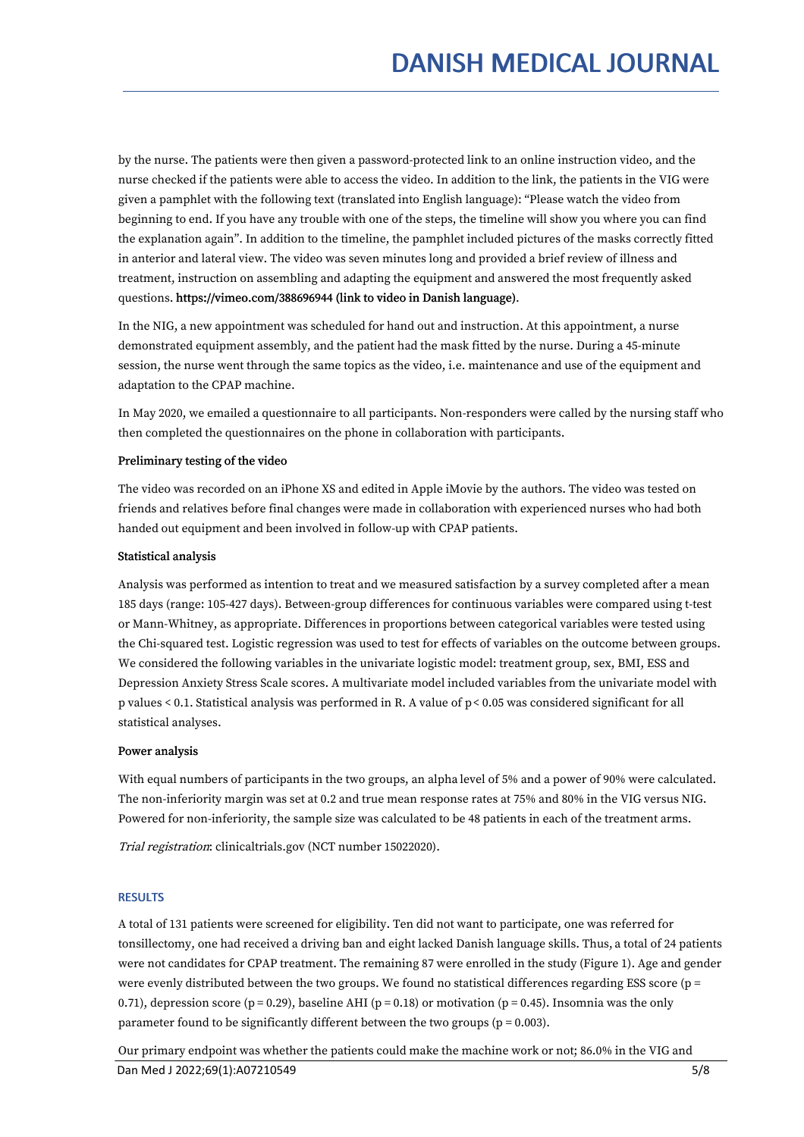by the nurse. The patients were then given a password-protected link to an online instruction video, and the nurse checked if the patients were able to access the video. In addition to the link, the patients in the VIG were given a pamphlet with the following text (translated into English language): "Please watch the video from beginning to end. If you have any trouble with one of the steps, the timeline will show you where you can find the explanation again". In addition to the timeline, the pamphlet included pictures of the masks correctly fitted in anterior and lateral view. The video was seven minutes long and provided a brief review of illness and treatment, instruction on assembling and adapting the equipment and answered the most frequently asked questions. https://vimeo.com/388696944 (link to video in Danish language).

In the NIG, a new appointment was scheduled for hand out and instruction. At this appointment, a nurse demonstrated equipment assembly, and the patient had the mask fitted by the nurse. During a 45-minute session, the nurse went through the same topics as the video, i.e. maintenance and use of the equipment and adaptation to the CPAP machine.

In May 2020, we emailed a questionnaire to all participants. Non-responders were called by the nursing staff who then completed the questionnaires on the phone in collaboration with participants.

# Preliminary testing of the video

The video was recorded on an iPhone XS and edited in Apple iMovie by the authors. The video was tested on friends and relatives before final changes were made in collaboration with experienced nurses who had both handed out equipment and been involved in follow-up with CPAP patients.

# Statistical analysis

Analysis was performed as intention to treat and we measured satisfaction by a survey completed after a mean 185 days (range: 105-427 days). Between-group differences for continuous variables were compared using t-test or Mann-Whitney, as appropriate. Differences in proportions between categorical variables were tested using the Chi-squared test. Logistic regression was used to test for effects of variables on the outcome between groups. We considered the following variables in the univariate logistic model: treatment group, sex, BMI, ESS and Depression Anxiety Stress Scale scores. A multivariate model included variables from the univariate model with p values < 0.1. Statistical analysis was performed in R. A value of p< 0.05 was considered significant for all statistical analyses.

# Power analysis

With equal numbers of participants in the two groups, an alpha level of 5% and a power of 90% were calculated. The non-inferiority margin was set at 0.2 and true mean response rates at 75% and 80% in the VIG versus NIG. Powered for non-inferiority, the sample size was calculated to be 48 patients in each of the treatment arms.

Trial registration: clinicaltrials.gov (NCT number 15022020).

# **RESULTS**

A total of 131 patients were screened for eligibility. Ten did not want to participate, one was referred for tonsillectomy, one had received a driving ban and eight lacked Danish language skills. Thus, a total of 24 patients were not candidates for CPAP treatment. The remaining 87 were enrolled in the study (Figure 1). Age and gender were evenly distributed between the two groups. We found no statistical differences regarding ESS score ( $p =$ 0.71), depression score (p = 0.29), baseline AHI (p = 0.18) or motivation (p = 0.45). Insomnia was the only parameter found to be significantly different between the two groups ( $p = 0.003$ ).

Our primary endpoint was whether the patients could make the machine work or not; 86.0% in the VIG and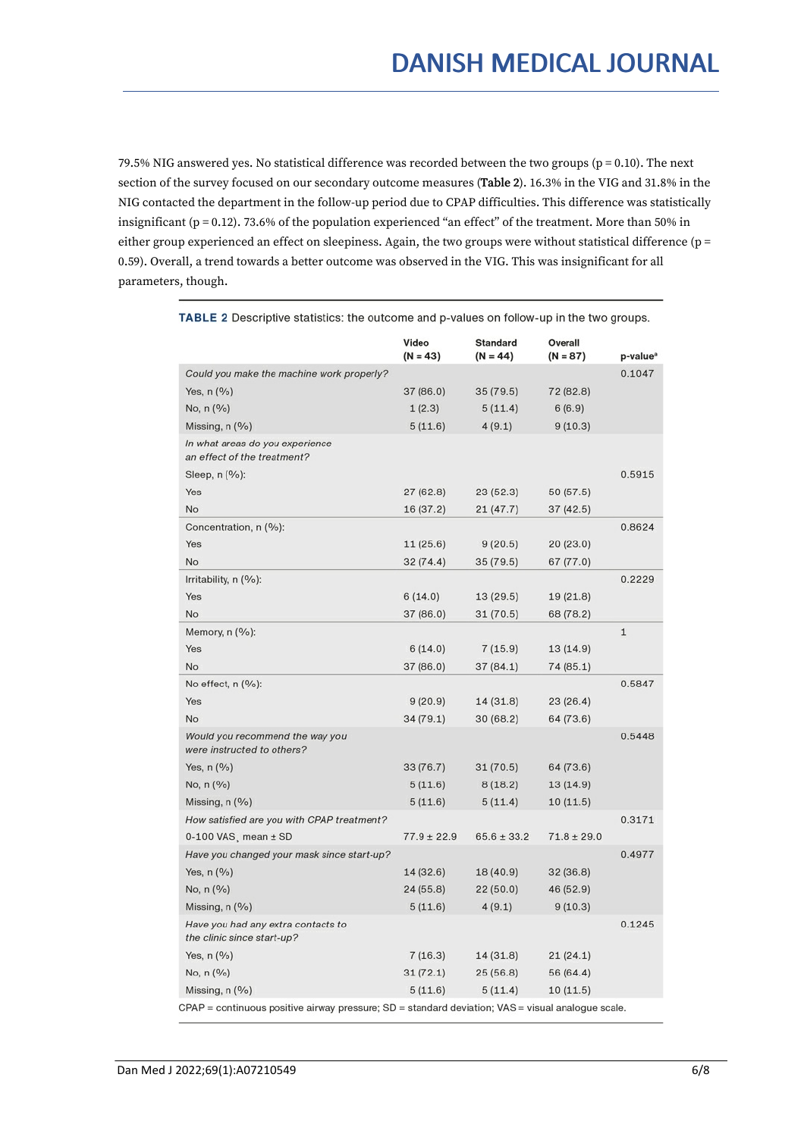79.5% NIG answered yes. No statistical difference was recorded between the two groups (p = 0.10). The next section ofthe survey focused on our secondary outcome measures (Table 2). 16.3% in the VIG and 31.8% in the NIG contacted the department in the follow-up period due to CPAP difficulties. This difference was statistically insignificant (p = 0.12). 73.6% of the population experienced "an effect" of the treatment. More than 50% in either group experienced an effect on sleepiness. Again, the two groups were without statistical difference ( $p =$ 0.59). Overall, a trend towards a better outcome was observed in the VIG. This was insignificant for all parameters, though.

|                                                                                                   | Video<br>$(N = 43)$ | <b>Standard</b><br>$(N = 44)$ | Overall<br>$(N = 87)$ | p-value <sup>a</sup> |
|---------------------------------------------------------------------------------------------------|---------------------|-------------------------------|-----------------------|----------------------|
| Could you make the machine work properly?                                                         |                     |                               |                       | 0.1047               |
| Yes, $n$ $(\%)$                                                                                   | 37 (86.0)           | 35 (79.5)                     | 72 (82.8)             |                      |
| No, n (%)                                                                                         | 1(2.3)              | 5(11.4)                       | 6(6.9)                |                      |
| Missing, $n$ (%)                                                                                  | 5(11.6)             | 4(9.1)                        | 9(10.3)               |                      |
| In what areas do you experience<br>an effect of the treatment?                                    |                     |                               |                       |                      |
| Sleep, $n$ $(\%)$ :                                                                               |                     |                               |                       | 0.5915               |
| Yes                                                                                               | 27(62.8)            | 23(52.3)                      | 50 (57.5)             |                      |
| No                                                                                                | 16 (37.2)           | 21 (47.7)                     | 37 (42.5)             |                      |
| Concentration, n (%):                                                                             |                     |                               |                       | 0.8624               |
| Yes                                                                                               | 11(25.6)            | 9(20.5)                       | 20(23.0)              |                      |
| No                                                                                                | 32(74.4)            | 35(79.5)                      | 67 (77.0)             |                      |
| Irritability, n (%):                                                                              |                     |                               |                       | 0.2229               |
| Yes                                                                                               | 6(14.0)             | 13 (29.5)                     | 19(21.8)              |                      |
| No                                                                                                | 37 (86.0)           | 31(70.5)                      | 68 (78.2)             |                      |
| Memory, $n$ (%):                                                                                  |                     |                               |                       | $\mathbf{1}$         |
| Yes                                                                                               | 6(14.0)             | 7(15.9)                       | 13(14.9)              |                      |
| No                                                                                                | 37 (86.0)           | 37 (84.1)                     | 74 (85.1)             |                      |
| No effect, n (%):                                                                                 |                     |                               |                       | 0.5847               |
| Yes                                                                                               | 9(20.9)             | 14 (31.8)                     | 23(26.4)              |                      |
| No                                                                                                | 34(79.1)            | 30(68.2)                      | 64 (73.6)             |                      |
| Would you recommend the way you<br>were instructed to others?                                     |                     |                               |                       | 0.5448               |
| Yes, $n$ $(\%)$                                                                                   | 33(76.7)            | 31(70.5)                      | 64 (73.6)             |                      |
| No, n (%)                                                                                         | 5(11.6)             | 8(18.2)                       | 13(14.9)              |                      |
| Missing, $n$ $(\%)$                                                                               | 5(11.6)             | 5(11.4)                       | 10(11.5)              |                      |
| How satisfied are you with CPAP treatment?                                                        |                     |                               |                       | 0.3171               |
| $0-100$ VAS, mean $\pm$ SD                                                                        | $77.9 \pm 22.9$     | $65.6 \pm 33.2$               | $71.8 \pm 29.0$       |                      |
| Have you changed your mask since start-up?                                                        |                     |                               |                       | 0.4977               |
| Yes, $n$ $(\%)$                                                                                   | 14 (32.6)           | 18 (40.9)                     | 32 (36.8)             |                      |
| No, $n$ (%)                                                                                       | 24(55.8)            | 22(50.0)                      | 46 (52.9)             |                      |
| Missing, $n$ (%)                                                                                  | 5(11.6)             | 4(9.1)                        | 9(10.3)               |                      |
| Have you had any extra contacts to<br>the clinic since start-up?                                  |                     |                               |                       | 0.1245               |
| Yes, $n$ $(\%)$                                                                                   | 7(16.3)             | 14 (31.8)                     | 21(24.1)              |                      |
| No, $n$ (%)                                                                                       | 31(72.1)            | 25(56.8)                      | 56 (64.4)             |                      |
| Missing, n (%)                                                                                    | 5(11.6)             | 5(11.4)                       | 10(11.5)              |                      |
| .CPAP = continuous positive airway pressure; SD = standard deviation; VAS = visual analogue scale |                     |                               |                       |                      |

TABLE 2 Descriptive statistics: the outcome and p-values on follow-up in the two groups.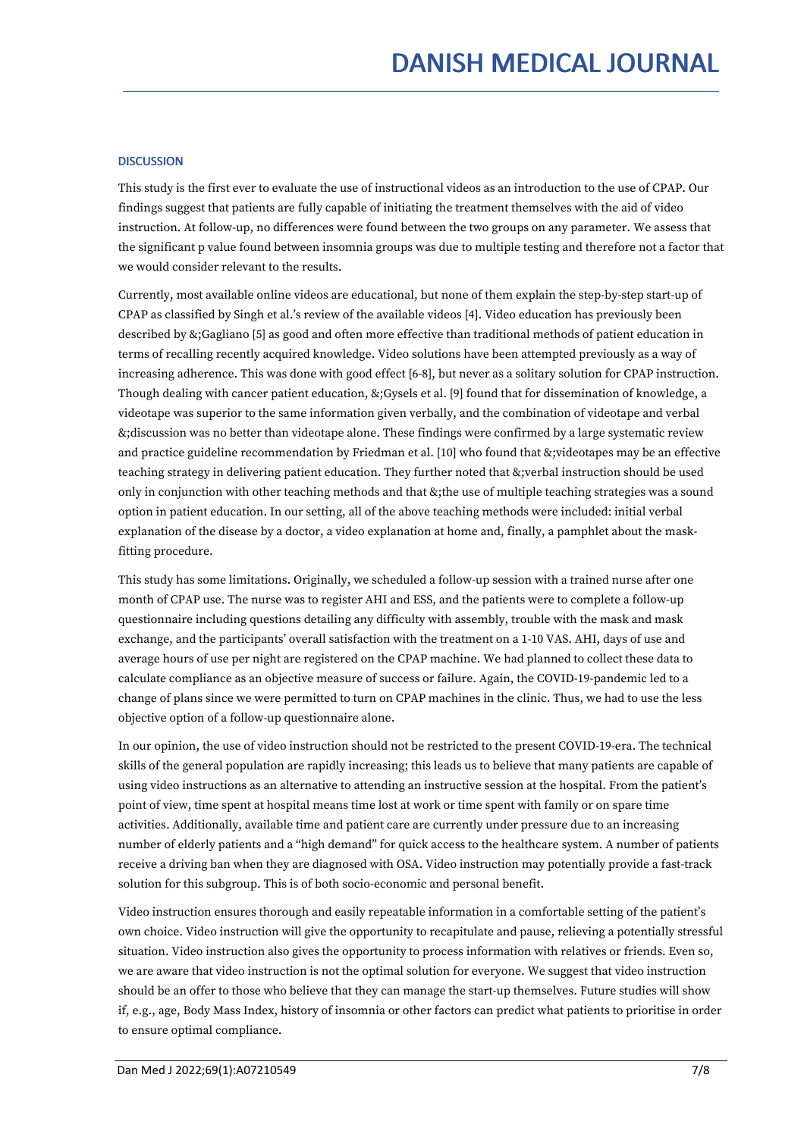# **DISCUSSION**

This study is the first ever to evaluate the use of instructional videos as an introduction to the use of CPAP. Our findings suggest that patients are fully capable of initiating the treatment themselves with the aid of video instruction. At follow-up, no differences were found between the two groups on any parameter. We assess that the significant p value found between insomnia groups was due to multiple testing and therefore not a factor that we would consider relevant to the results.

Currently, most available online videos are educational, but none of them explain the step-by-step start-up of CPAP as classified by Singh et al.'s review of the available videos [4]. Video education has previously been described by &;Gagliano [5] as good and often more effective than traditional methods of patient education in terms of recalling recently acquired knowledge. Video solutions have been attempted previously as a way of increasing adherence. This was done with good effect [6-8], but never as a solitary solution for CPAP instruction. Though dealing with cancer patient education, &;Gysels et al. [9] found that for dissemination of knowledge, a videotape was superior to the same information given verbally, and the combination of videotape and verbal &;discussion was no better than videotape alone. These findings were confirmed by a large systematic review and practice guideline recommendation by Friedman et al. [10] who found that &;videotapes may be an effective teaching strategy in delivering patient education. They further noted that &;verbal instruction should be used only in conjunction with other teaching methods and that &;the use of multiple teaching strategies was a sound option in patient education. In our setting, all of the above teaching methods were included: initial verbal explanation of the disease by a doctor, a video explanation at home and, finally, a pamphlet about the maskfitting procedure.

This study has some limitations. Originally, we scheduled a follow-up session with a trained nurse after one month ofCPAP use. The nurse was to register AHI and ESS, and the patients were to complete a follow-up questionnaire including questions detailing any difficulty with assembly, trouble with the mask and mask exchange, and the participants' overall satisfaction with the treatment on a 1-10 VAS. AHI, days of use and average hours of use per night are registered on the CPAP machine. We had planned to collect these data to calculate compliance as an objective measure of success or failure. Again, the COVID-19-pandemic led to a change of plans since we were permitted to turn on CPAP machines in the clinic. Thus, we had to use the less objective option of a follow-up questionnaire alone.

In our opinion, the use of video instruction should not be restricted to the present COVID-19-era. The technical skills of the general population are rapidly increasing; this leads us to believe that many patients are capable of using video instructions as an alternative to attending an instructive session at the hospital. From the patient's point of view, time spent at hospital means time lost at work or time spent with family or on spare time activities. Additionally, available time and patient care are currently under pressure due to an increasing number of elderly patients and a "high demand" for quick access to the healthcare system. A number of patients receive a driving ban when they are diagnosed with OSA. Video instruction may potentially provide a fast-track solution for this subgroup. This is of both socio-economic and personal benefit.

Video instruction ensures thorough and easily repeatable information in a comfortable setting of the patient's own choice. Video instruction will give the opportunity to recapitulate and pause, relieving a potentially stressful situation. Video instruction also gives the opportunity to process information with relatives or friends. Even so,<br>we are aware that video instruction is not the optimal solution for everyone. We suggest that video instruc should be an offer to those who believe that they can manage the start-up themselves. Future studies will show if, e.g., age, Body Mass Index, history of insomnia or other factors can predict what patients to prioritise in order to ensure optimal compliance.